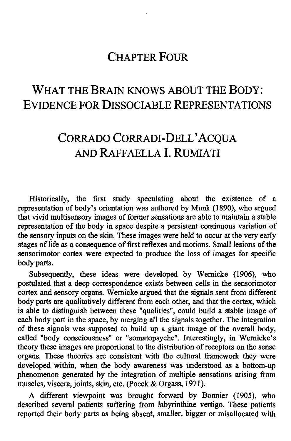## **CHAPTER FOUR**

# **WHAT THE BRAIN KNOWS ABOUT THE BODY: EVIDENCE FOR DISSOCIABLE REPRESENTATIONS**

# **CORRADO CORRADI-DELL' ACQUA AND RAFFAELLA I. RUMIATI**

Historically, the first study speculating about the existence of a representation of body's orientation was authored by Munk (1890), who argued that vivid multisensory images of former sensations are able to maintain a stable representation of the body in space despite a persistent continuous variation of the sensory inputs on the skin. These images were held to occur at the very early stages of life as a consequence of first reflexes and motions. Small lesions of the sensorimotor cortex were expected to produce the loss of images for specific body parts.

Subsequently, these ideas were developed by Wernicke (1906), who postulated that a deep correspondence exists between cells in the sensorimotor cortex and sensory organs. Wernicke argued that the signals sent from different body parts are qualitatively different from each other, and that the cortex, which is able to distinguish between these "qualities", could build a stable image of each body part in the space, by merging all the signals together. The integration of these signals was supposed to build up a giant image of the overall body, called "body consciousness" or "somatopsyche". Interestingly, in Wernicke's theory these images are proportional to the distribution of receptors on the sense organs. These theories are consistent with the cultural framework they were developed within, when the body awareness was understood as a bottom-up phenomenon generated by the integration of multiple sensations arising from muscles, viscera, joints, skin, etc. (Poeck & Orgass, 1971).

A different viewpoint was brought forward by Bonnier (1905), who described several patients suffering from labyrinthine vertigo. These patients reported their body parts as being absent, smaller, bigger or misallocated with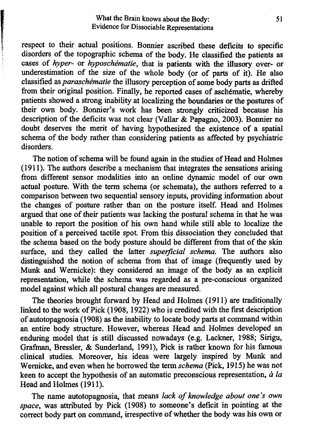#### What the Brain knows about the Body: Evidence for Dissociable Representations

**RESERVE AND RESERVE AND RESERVE** 

respect to their actual positions. Bonnier ascribed these deficits to specific disorders of the topographic schema of the body. He classified the patients as cases of *hyper-* or *hyposchematie,* that is patients with the illusory over- or underestimation of the size of the whole body (or of parts of it). He also classified as *paraschematie* the illusory perception of some body parts as drifted from their original position. Finally, he reported cases of aschematie, whereby patients showed a strong inability at localizing the boundaries or the postures of their own body. Bonnier's work has been strongly criticized because his description of the deficits was not clear (Vallar & Papagno, 2003). Bonnier no doubt deserves the merit of having hypothesized the existence of a spatial schema of the body rather than considering patients as affected by psychiatric disorders.

The notion of schema will be found again in the studies of Head and Holmes (1911). The authors describe a mechanism that integrates the sensations arising from different sensor modalities into an online dynamic model of our own actual posture. With the term schema (or schemata), the authors referred to a comparison between two sequential sensory inputs, providing information about the changes of posture rather than on the posture itself. Head and Holmes argued that one of their patients was lacking the postural schema in that he was unable to report the position of his own hand while still able to localize the position of a perceived tactile spot. From this dissociation they concluded that the schema based on the body posture should be different from that of the skin surface, and they called the latter *supetficial schema.* The authors also distinguished the notion of schema from that of image (frequently used by Munk and Wernicke): they considered an image of the body as an explicit representation, while the schema was regarded as a pre-conscious organized model against which all postural changes are measured.

The theories brought forward by Head and Holmes (1911) are traditionally linked to the work of Pick (1908, 1922) who is credited with the first description of autotopagnosia (1908) as the inability to locate body parts at command within an entire body structure. However, whereas Head and Holmes developed an enduring model that is still discussed nowadays (e.g. Lackner, 1988; Sirigu, Grafman, Bressler, & Sunderland, 1991), Pick is rather known for his famous clinical studies. Moreover, his ideas were largely inspired by Munk and Wernicke, and even when he borrowed the term *schema* (Pick, 1915) he was not keen to accept the hypothesis of an automatic preconscious representation, *a la* Head and Holmes (1911).

The name autotopagnosia, that means *lack of knowledge about one's own space,* was attributed by Pick (1908) to someone's deficit in pointing at the correct body part on command, irrespective of whether the body was his own or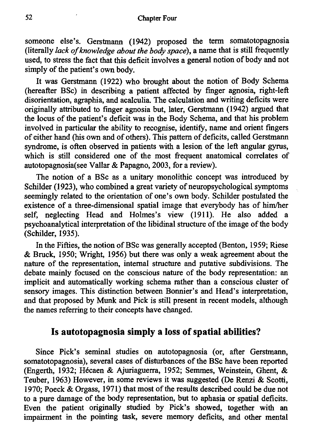#### **Chapter Four**

someone else's. Gerstmann (1942) proposed the term somatotopagnosia (literally *lack of knowledge about the body space),* a name that is still frequently used, to stress the fact that this deficit involves a general notion of body and not simply of the patient's own body.

It was Gerstmann (1922) who brought about the notion of Body Schema (hereafter BSc) in describing a patient affected by finger agnosia, right-left disorientation, agraphia, and acalculia. The calculation and writing deficits were originally attributed to finger agnosia but, later, Gerstmann (1942) argued that the locus of the patient's deficit was in the Body Schema, and that his problem involved in particular the ability to recognise, identify, name and orient fmgers of either hand (his own and of others). This pattern of deficits, called Gerstmann syndrome, is often observed in patients with a lesion of the left angular gyrus, which is still considered one of the most frequent anatomical correlates of autotopagnosia(see Vallar & Papagno, 2003, for a review).

The notion of a BSc as a unitary monolithic concept was introduced by Schilder (1923), who combined a great variety of neuropsychological symptoms seemingly related to the orientation of one's own body. Schilder postulated the existence of a three-dimensional spatial image that everybody has of him/her self, neglecting Head and Holmes's view (1911). He also added a psychoanalytical interpretation of the libidinal structure of the image of the body (Schilder, 1935).

In the Fifties, the notion of BSc was generally accepted (Benton, 1959; Riese & Bruck, 1950; Wright, 1956) but there was only a weak agreement about the nature of the representation, internal structure and putative subdivisions. The debate mainly focused on the conscious nature of the body representation: an implicit and automatically working schema rather than a conscious cluster of sensory images. This distinction between Bonnier's and Head's interpretation, and that proposed by Munk and Pick is still present in recent models, although the names referring to their concepts have changed.

### Is autotopagnosia simply a loss of spatial abilities?

Since Pick's seminal studies on autotopagnosia (or, after Gerstmann, somatotopagnosia), several cases of disturbances of the BSc have been reported (Engerth, 1932; Hecaen & Ajuriaguerra, 1952; Semmes, Weinstein, Ghent, & Teuber, 1963) However, in some reviews it was suggested (De Renzi & Scotti, 1970; Poeck & Orgass, 1971) that most of the results described could be due not to a pure damage of the body representation, but to aphasia or spatial deficits. Even the patient originally studied by Pick's showed, together with an impairment in the pointing task, severe memory deficits, and other mental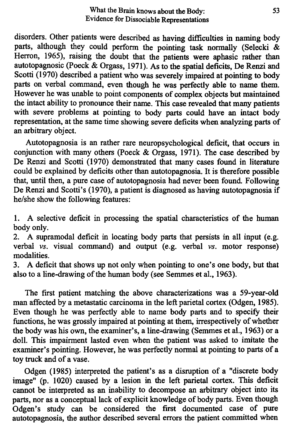disorders. Other patients were described as having difficulties in naming body parts, although they could perform the pointing task normally (Selecki & Herron, 1965), raising the doubt that the patients were aphasic rather than autotopagnosic (Poeck & Orgass, 1971). As to the spatial deficits, De Renzi and Scotti (1970) described a patient who was severely impaired at pointing to body parts on verbal command, even though he was perfectly able to name them. However he was unable to point components of complex objects but maintained the intact ability to pronounce their name. This case revealed that many patients with severe problems at pointing to body parts could have an intact body representation, at the same time showing severe deficits when analyzing parts of an arbitrary object.

Autotopagnosia is an rather rare neuropsychological deficit, that occurs in conjunction with many others (Poeck & Orgass, 1971). The case described by De Renzi and Scotti (1970) demonstrated that many cases found in literature could be explained by deficits other than autotopagnosia. It is therefore possible that, until then, a pure case of autotopagnosia had never been found Following De Renzi and Scotti's (1970), a patient is diagnosed as having autotopagnosia if he/she show the following features:

1. A selective deficit in processing the spatial characteristics of the human body only.

2. A supramodal deficit in locating body parts that persists in all input (e.g. verbal *vs.* visual command) and output (e.g. verbal *vs.* motor response) modalities.

3. A deficit that shows up not only when pointing to one's one body, but that also to a line-drawing of the human body (see Semmes et aI., 1963).

The first patient matching the above characterizations was a 59-year-old man affected by a metastatic carcinoma in the left parietal cortex (Odgen, 1985). Even though he was perfectly able to name body parts and to specify their functions, he was grossly impaired at pointing at them, irrespectively of whether the body was his own, the examiner's, a line-drawing (Semmes et aI., 1963) or a doll. This impairment lasted even when the patient was asked to imitate the examiner's pointing. However, he was perfectly normal at pointing to parts of a toy truck and of a vase.

Odgen (1985) interpreted the patient's as a disruption of a "discrete body image" (p. 1020) caused by a lesion in the left parietal cortex. This deficit cannot be interpreted as an inability to decompose an arbitrary object into its parts, nor as a conceptual lack of explicit knowledge of body parts. Even though Odgen's study can be considered the first documented case of pure autotopagnosia, the author described several errors the patient committed when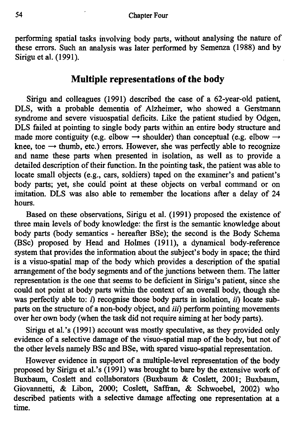perfonning spatial tasks involving body parts, without analysing the nature of these errors. Such an analysis was later perfonned by Semenza (1988) and by Sirigu et al. (1991).

### Multiple representations of the body

Sirigu and colleagues (1991) described the case of a 62-year-old patient, DLS, with a probable dementia of Alzheimer, who showed a Gerstmann syndrome and severe visuospatial deficits. Like the patient studied by Odgen, DLS failed at pointing to single body parts within an entire body structure and made more contiguity (e.g. elbow  $\rightarrow$  shoulder) than conceptual (e.g. elbow  $\rightarrow$ knee, toe  $\rightarrow$  thumb, etc.) errors. However, she was perfectly able to recognize and name these parts when presented in isolation, as well as to provide a detailed description of their function. In the pointing task, the patient was able to locate small objects (e.g., cars, soldiers) taped on the examiner's and patient's body parts; yet, she could point at these objects on verbal command or on imitation. DLS was also able to remember the locations after a delay of 24 hours.

Based on these observations, Sirigu et al. (1991) proposed the existence of three main levels of body knowledge: the first is the semantic knowledge about body parts (body semantics - hereafter BSe); the second is the Body Schema (BSc) proposed by Head and Holmes (1911), a dynamical body-reference system that provides the information about the subject's body in space; the third is a visuo-spatial map of the body which provides a description of the spatial arrangement of the body segments and of the junctions between them. The latter representation is the one that seems to be deficient in Sirigu's patient, since she could not point at body parts within the context of an overall body, though she was perfectly able to: *i*) recognise those body parts in isolation, *ii*) locate subparts on the structure of a non-body object, and *iii*) perform pointing movements over her own body (when the task did not require aiming at her body parts).

Sirigu et al.'s (1991) account was mostly speculative, as they provided only evidence of a selective damage of the visuo-spatial map of the body, but not of the other levels namely BSc and BSe, with spared visuo-spatial representation.

However evidence in support of a multiple-level representation of the body proposed by Sirigu et al.'s (1991) was brought to bare by the extensive work of Buxbaum, Coslett and collaborators (Buxbaum & Coslett, 2001; Buxbaum, Giovannetti, & Libon, 2000; Coslett, Saffran, & Schwoebel, 2002) who described patients with a selective damage affecting one representation at a time.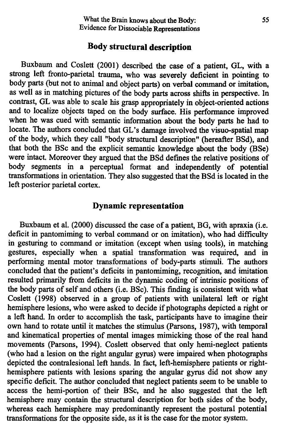#### **Body structural description**

Buxbaum and Coslett (2001) described the case of a patient, GL, with a strong left fronto-parietal trauma, who was severely deficient in pointing to body parts (but not to animal and object parts) on verbal command or imitation, as well as in matching pictures of the body parts across shifts in perspective. In contrast, GL was able to scale his grasp appropriately in object-oriented actions and to localize objects taped on the body surface. His performance improved when he was cued with semantic information about the body parts he had to locate. The authors concluded that GL's damage involved the visuo-spatial map of the body, which they call "body structural description" (hereafter BSd), and that both the BSc and the explicit semantic knowledge about the body (BSe) were intact. Moreover they argued that the BSd defines the relative positions of body segments in a perceptual format and independently of potential transformations in orientation. They also suggested that the BSd is located in the left posterior parietal cortex.

#### **Dynamic representation**

Buxbaum et al. (2000) discussed the case of a patient, BG, with apraxia (i.e. deficit in pantomiming to verbal command or on imitation), who had difficulty in gesturing to command or imitation (except when using tools), in matching gestures, especially when a spatial transformation was required, and in performing mental motor transformations of body-parts stimuli. The authors concluded that the patient's deficits in pantomiming, recognition, and imitation resulted primarily from deficits in the dynamic coding of intrinsic positions of the body parts of self and others (i.e. BSc). This finding is consistent with what Coslett (1998) observed in a group of patients with unilateral left or right hemisphere lesions, who were asked to decide if photographs depicted a right or a left hand. In order to accomplish the task, participants have to imagine their own hand to rotate until it matches the stimulus (parsons, 1987), with temporal and kinematical properties of mental images mimicking those of the real hand movements (Parsons, 1994). Coslett observed that only hemi-neglect patients (who had a lesion on the right angular gyrus) were impaired when photographs depicted the contralesional left hands. In fact, left-hemisphere patients or righthemisphere patients with lesions sparing the angular gyrus did not show any specific deficit. The author concluded that neglect patients seem to be unable to access the hemi-portion of their BSc, and he also suggested that the left hemisphere may contain the structural description for both sides of the body, whereas each hemisphere may predominantly represent the postural potential transformations for the opposite side, as it is the case for the motor system.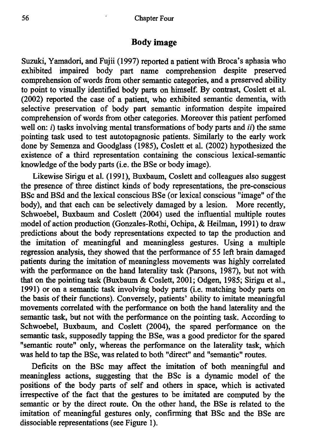#### **Body** image

Suzuki, Yamadori, and Fujii (1997) reported a patient with Broca's aphasia who exhibited impaired body part name comprehension despite preserved comprehension of words from other semantic categories, and a preserved ability to point to visually identified body parts on himself. By contrast, Coslett et aI. (2002) reported the case of a patient, who exhibited semantic dementia, with selective preservation of body part semantic information despite impaired comprehension of words from other categories. Moreover this patient perfomed well on: *i)* tasks involving mental transformations of body parts and *ii)* the same pointing task used to test autotopagnosic patients. Similarly to the early work done by Semenza and Goodglass (1985), Coslett et aI. (2002) hypothesized the existence of a third representation containing the conscious lexical-semantic knowledge of the body parts (i.e. the BSe or body image).

Likewise Sirigu et aI. (1991), Buxbaum, Coslett and colleagues also suggest the presence of three distinct kinds of body representations, the pre-conscious BSc and BSd and the lexical conscious BSe (or lexical conscious "image" of the body), and that each can be selectively damaged by a lesion. More recently, Schwoebel, Buxbaum and Coslett (2004) used the influential multiple routes model of action production (Gonzales- Rothi, Ochipa, & Heilman, 1991) to draw predictions about the body representations expected to tap the production and the imitation of meaningful and meaningless gestures. Using a multiple regression analysis, they showed that the performance of 55 left brain damaged patients during the imitation of meaningless movements was highly correlated with the performance on the hand laterality task (Parsons, 1987), but not with that on the pointing task (Buxbaum & Coslett, 2001; Odgen, 1985; Sirigu et aI., 1991) or on a semantic task involving body parts (i.e. matching body parts on the basis of their functions). Conversely, patients' ability to imitate meaningful movements correlated with the performance on both the hand laterality and the semantic task, but not with the performance on the pointing task. According to Schwoebel, Buxbaum, and Coslett (2004), the spared performance on the semantic task, supposedly tapping the BSe, was a good predictor for the spared "semantic route" only, whereas the performance on the laterality task, which was held to tap the BSc, was related to both "direct" and "semantic" routes.

Deficits on the BSc may affect the imitation of both meaningful and meaningless actions, suggesting that the BSc is a dynamic model of the positions of the body parts of self and others in space, which is activated irrespective of the fact that the gestures to be imitated are computed by the semantic or by the direct route. On the other hand, the BSe is related to the imitation of meaningful gestures only, confirming that BSc and the BSe are dissociable representations (see Figure 1).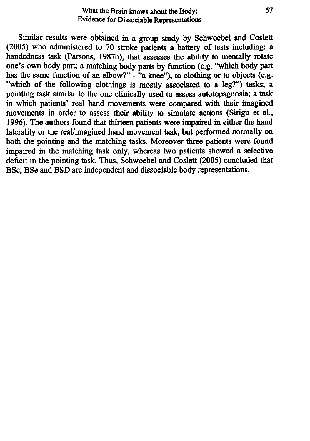#### What the Brain knows about the Body: Evidence for Dissociable Representations

Similar results were obtained in a group study by Schwoebel and Coslett (2005) who administered to 70 stroke patients a battery of tests including: a handedness task (parsons, 1987b), that assesses the ability to mentally rotate one's own body part; a matching body parts by function (e.g. "which body part has the same function of an elbow?" - "a knee"), to clothing or to objects (e.g. "which of the following clothings is mostly associated to a leg?") tasks; a pointing task similar to the one clinically used to assess autotopagnosia; a task in which patients' real hand movements were compared with their imagined movements in order to assess their ability to simulate actions (Sirigu et al., 1996). The authors found that thirteen patients were impaired in either the hand laterality or the reaVimagined hand movement task, but performed normally on both the pointing and the matching tasks. Moreover three patients were found impaired in the matching task only, whereas two patients showed a selective deficit in the pointing task. Thus, Schwoebel and Coslett (2005) concluded that BSc, BSe and BSD are independent and dissociable body representations.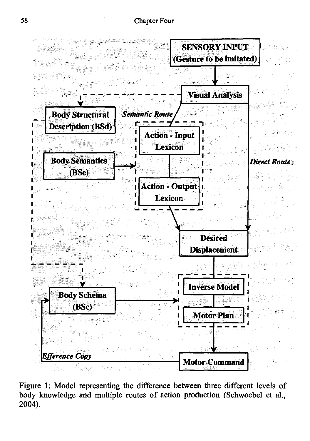

Figure 1: Model representing the difference between three different levels of body knowledge and multiple routes of action production (Schwoebel et aI., 2004).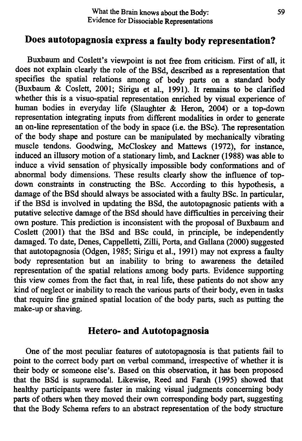## Does autotopagnosia express a faulty body representation?

Buxbaum and Coslett's viewpoint is not free from criticism. First of all, it does not explain clearly the role of the BSd, described as a representation that specifies the spatial relations among of body parts on a standard body (Buxbaum & Coslett, 2001; Sirigu et aI., 1991). It remains to be clarified whether this is a visuo-spatial representation enriched by visual experience of human bodies in everyday life (Slaughter & Heron, 2004) or a top-down representation integrating inputs from different modalities in order to generate an on-line representation of the body in space (i.e. the BSc). The representation of the body shape and posture can be manipulated by mechanically vibrating muscle tendons. Goodwing, McCloskey and Mattews (1972), for instance, induced an illusory motion of a stationary limb, and Lackner (1988) was able to induce a vivid sensation of physically impossible body conformations and of abnormal body dimensions. These results clearly show the influence of topdown constraints in constructing the BSc. According to this hypothesis, a damage of the BSd should always be associated with a faulty BSc. In particular, if the BSd is involved in updating the BSd, the autotopagnosic patients with a putative selective damage of the BSd should have difficulties in perceiving their own posture. This prediction is inconsistent with the proposal of Buxbaum and Coslett (2001) that the BSd and BSc could, in principle, be independently damaged. To date, Denes, Cappelletti, Zilli, Porta, and Gallana (2000) suggested that autotopagnosia (Odgen, 1985; Sirigu et aI., 1991) may not express a faulty body representation but an inability to bring to awareness the detailed representation of the spatial relations among body parts. Evidence supporting this view comes from the fact that, in real life, these patients do not show any kind of neglect or inability to reach the various parts of their body, even in tasks that require fine grained spatial location of the body parts, such as putting the make-up or shaving.

## **Hetero- and Autotopagnosia**

One of the most peculiar features of autotopagnosia is that patients fail to point to the correct body part on verbal command, irrespective of whether it is their body or someone else's. Based on this observation, it has been proposed that the BSd is supramodai. Likewise, Reed and Farah (1995) showed that healthy participants were faster in making visual judgments concerning body parts of others when they moved their own corresponding body part, suggesting that the Body Schema refers to an abstract representation of the body structure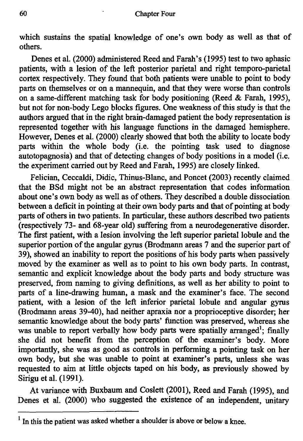which sustains the spatial knowledge of one's own body as well as that of others.

Denes et al. (2000) administered Reed and Farah's (1995) test to two aphasic patients, with a lesion of the left posterior parietal and right temporo-parietal cortex respectively. They found that both patients were unable to point to body parts on themselves or on a mannequin, and that they were worse than controls on a same-different matching task for body positioning (Reed & Farah, 1995), but not for non-body Lego blocks figures. One weakness of this study is that the authors argued that in the right brain-damaged patient the body representation is represented together with his language functions in the damaged hemisphere. However, Denes et at. (2000) clearly showed that both the ability to locate body parts within the whole body (i.e. the pointing task used to diagnose autotopagnosia) and that of detecting changes of body positions in a model (i.e. the experiment carried out by Reed and Farah, 1995) are closely linked.

Felician, Ceccaldi, Didic, Thinus-Blanc, and Poncet (2003) recently claimed that the BSd might not be an abstract representation that codes information about one's own body as well as of others. They described a double dissociation between a deficit in pointing at their own body parts and that of pointing at body parts of others in two patients. In particular, these authors described two patients (respectively 73- and 68-year old) suffering from a neurodegenerative disorder. The first patient, with a lesion involving the left superior parietal lobule and the superior portion of the angular gyrus (Brodmann areas 7 and the superior part of 39), showed an inability to report the positions of his body parts when passively moved by the examiner as well as to point to his own body parts. In contrast, semantic and explicit knowledge about the body parts and body structure was preserved, from naming to giving definitions, as well as her ability to point to parts of a line-drawing human, a mask and the examiner's face. The second patient, with a lesion of the left inferior parietal lobule and angular gyrus (Brodmann areas 39-40), had neither apraxia nor a proprioceptive disorder; her semantic knowledge about the body parts' function was preserved, whereas she was unable to report verbally how body parts were spatially arranged<sup>1</sup>; finally she did not benefit from the perception of the examiner's body. More importantly, she was as good as controls in performing a pointing task on her own body, but she was unable to point at examiner's parts, unless she was requested to aim at little objects taped on his body, as previously showed by Sirigu et al. (1991).

At variance with Buxbaum and Coslett (2001), Reed and Farah (1995), and Denes et al. (2000) who suggested the existence of an independent, unitary

 $1$  In this the patient was asked whether a shoulder is above or below a knee.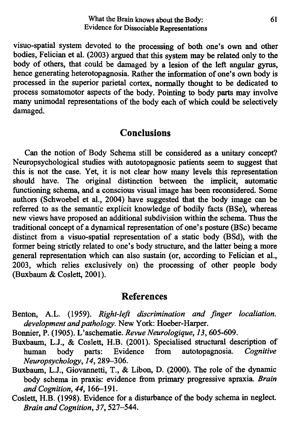visuo-spatial system devoted to the processing of both one's own and other bodies, Felician et aI. (2003) argued that this system may be related only to the body of others, that could be damaged by a lesion of the left angular gyrus, hence generating heterotopagnosia. Rather the information of one's own body is processed in the superior parietal cortex, normally thought to be dedicated to process somatomotor aspects of the body. Pointing to body parts may involve many unimodal representations of the body each of which could be selectively damaged.

## **Conclusions**

Can the notion of Body Schema still be considered as a unitary concept? Neuropsychological studies with autotopagnosic patients seem to suggest that this is not the case. Yet, it is not clear how many levels this representation should have. The original distinction between the implicit, automatic functioning schema, and a conscious visual image has been reconsidered. Some authors (Schwoebel et aI., 2004) have suggested that the body image can be referred to as the semantic explicit knowledge of bodily facts (BSe), whereas new views have proposed an additional subdivision within the schema. Thus the traditional concept of a dynamical representation of one's posture (BSc) became distinct from a visuo-spatial representation of a static body (BSd), with the former being strictly related to one's body structure, and the latter being a more general representation which can also sustain (or, according to Felician et aI., 2003, which relies exclusively on) the processing of other people body (Buxbaum & Coslett, 2001).

#### **References**

- Benton, A.L. (1959). *Right-left discrimination and finger localiation*. *development and pathology.* New York: Hoeber-Harper.
- Bonnier, P. (1905). L'aschematie. *Revue Neurologique,* 13, 605-609.
- Buxbaum, L.J., & Coslett, H.B. (2001). Specialised structural description of human body parts: Evidence from autotopagnosia. Cognitive human body parts: Evidence from autotopagnosia. *Neuropsychology,* 14, 289-306.
- Buxbaum, LJ., Giovannetti, T., & Libon, D. (2000). The role of the dynamic body schema in praxis: evidence from primary progressive apraxia. *Brain and Cognition,* 44,166-191.
- Coslett, H.B. (I998). Evidence for a disturbance of the body schema in neglect. *Brain and Cognition,* 37, 527-544.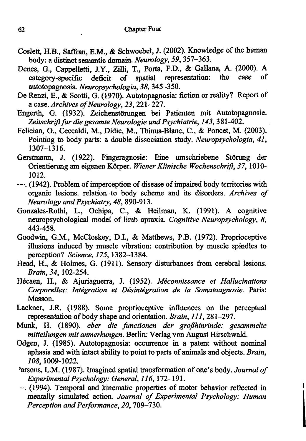- Coslett, H.B., Saffian, E.M., & Schwoebel, J. (2002). Knowledge of the human body: a distinct semantic domain. *Neurology,* 59, 357-363.
- Denes, G., Cappelletti, IY., Zilli, T., Porta, F.D., & Gallana, A. (2000). A category-specific deficit of spatial representation: the case of autotopagnosia. *Neuropsychologia,* 38, 345-350.
- De Renzi, E., & Scotti, G. (1970). Autotopagnosia: fiction or reality? Report of a case. *Archives of Neurology,* 23, 221-227.
- Engerth, G. (1932). Zeichenstörungen bei Patienten mit Autotopagnosie. *Zeitschrift fur die gesamte Neurologie und Psychiatrie,* 143, 381-402.
- Felician, 0., Ceccaldi, M., Didic, M., Thinus-Blanc, C., & Poncet, M. (2003). Pointing to body parts: a double dissociation study. *Neuropsychologia,* 41, 1307-1316.
- Gerstmann, J. (1922). Fingeragnosie: Eine umschriebene Störung der Orientierung am eigenen Korper. *Wiener Klinische Wochenschrift,* 37, 1010- 1012.
- -. (1942). Problem ofimperception of disease of impaired body territories with organic lesions. relation· to body scheme and its disorders. *Archives of Neurology and Psychiatry,* 48, 890-913.
- Gonzales-Rothi, L., Ochipa, C., & Heilman, K. (1991). A cognitive neuropsychological model of limb apraxia. *Cognitive Neuropsychology, 8,* 443-458.
- Goodwin, G.M., McCloskey, D.I., & Matthews, P.B. (1972). Proprioceptive illusions induced by muscle vibration: contribution by muscle spindles to perception? *Science,* 175, 1382-1384.
- Head, H., & Holmes, G. (1911). Sensory disturbances from cerebral lesions. *Brain,* 34, 102-254.
- Hecaen, H., & Ajuriaguerra, 1. (1952). *Meconnissance et Hallucinations Corporelles: integration et Desintegration de la Somatoagnosie.* Paris: Masson.
- Lackner, J.R (1988). Some proprioceptive influences on the perceptual representation of body shape and orientation. *Brain,* 111, 281-297.
- Munk, H. (1890). *eber die functionen der grofthinrinde: gesammelte mitteilungen mit anmerkungen.* Berlin: Verlag von August Hirschwald.
- Odgen, 1. (1985). Autotopagnosia: occurrence in a patent without nominal aphasia and with intact ability to point to parts of animals and objects. *Brain, 108,* 1009-1022.
- )arsons, L.M. (1987). Imagined spatial transformation of one's body. *Journal of Experimental Psychology: General,* 116, 172-191.
- -. (1994). Temporal and kinematic properties of motor behavior reflected in mentally simulated action. *Journal of Experimental Psychology: Human Perception and Performance, 20, 709-730.*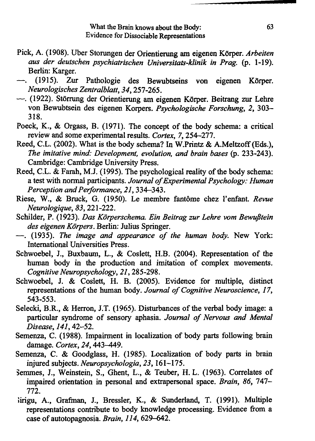- Pick, A. (1908). Uber Storungen der Orientierung am eigenen Körper. *Arbeiten aus der deutschen psychiatrischen Universitats-klinik in Prag.* (p. 1-19). Berlin: Karger.
- (1915). Zur Pathologie des Bewubtseins von eigenen Körper. *Neurologisches Zentralblatt,* 34, 257-265.
- -. (1922). Störrung der Orientierung am eigenen Körper. Beitrang zur Lehre von Bewubtsein des eigenen Korpers. *Psychologische Forschung,* 2, 303- 318.
- Poeck, K., & Orgass, B. (1971). The concept of the body schema: a critical review and some experimental results. *Cortex,* 7,254-277.
- Reed, C.L. (2002). What is the body schema? In W.Printz & A.Meltzoff (Eds.), *The imitative mind: Development, evolution, and brain bases* (p. 233-243). Cambridge: Cambridge University Press.
- Reed, C.L. & Farah, MJ. (1995). The psychological reality of the body schema: a test with normal participants. *Journal of Experimental Psychology: Human Perception and Performance,* 21, 334-343.
- Riese, W., & Bruck, G. (1950). Le membre fantome chez I'enfant. *Revue Neurologique,* 83,221-222.
- Schilder, P. (1923). *Das Kiirperschema. Ein Beitrag zur Lehre vom Bewuj3tein des eigenen Kiirpers.* Berlin: Julius Springer.
- -. (1935). *The image and appearance of the human body.* New York: International Universities Press.
- Schwoebel, J., Buxbaum, L., & Coslett, H.B. (2004). Representation of the human body in the production and imitation of complex movements. *Cognitive Neuropsychology,* 21,285-298.
- Schwoebel, 1. & Coslett, H. B. (2005). Evidence for multiple, distinct representations of the human body. *Journal of Cognitive Neuroscience, 17,* 543-553.
- Selecki, B.R., & Herron, J.T. (1965). Disturbances of the verbal body image: a particular syndrome of sensory aphasia. *Journal of Nervous and Mental Disease,* 141, 42-52.
- Semenza, C. (1988). Impairment in localization of body parts following brain damage. *Cortex*, 24, 443-449.
- Semenza, C. & Goodglass, H. (1985). Localization of body parts in brain injured subjects. *Neuropsychologia,* 23,161-175.
- semmes, J., Weinstein, S., Ghent, L., & Teuber, H. L. (1963). Correlates of impaired orientation in personal and extrapersonal space. *Brain,* 86, 747- 772.
- lirigu, A., Grafman, J., Bressler, K., & Sunderland, T. (1991). Multiple representations contribute to body knowledge processing. Evidence from a case of autotopagnosia. *Brain,* 114, 629-642.